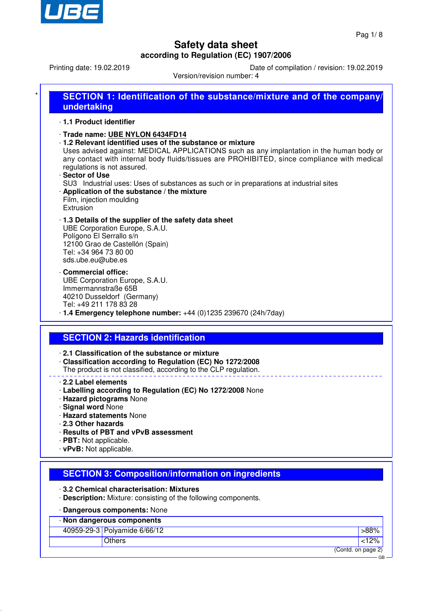

**SECTION 1: Identification of the substance/mixture and of the company** 

Printing date: 19.02.2019 Date of compilation / revision: 19.02.2019

Version/revision number: 4

| 1.1 Product identifier<br>· Trade name: UBE NYLON 6434FD14<br>· 1.2 Relevant identified uses of the substance or mixture<br>Uses advised against: MEDICAL APPLICATIONS such as any implantation in the human body or<br>any contact with internal body fluids/tissues are PROHIBITED, since compliance with medical<br>regulations is not assured.<br>· Sector of Use<br>SU3 Industrial uses: Uses of substances as such or in preparations at industrial sites<br>· Application of the substance / the mixture<br>Film, injection moulding<br>Extrusion<br>1.3 Details of the supplier of the safety data sheet<br>UBE Corporation Europe, S.A.U.<br>Polígono El Serrallo s/n<br>12100 Grao de Castellón (Spain)<br>Tel: +34 964 73 80 00<br>sds.ube.eu@ube.es<br>Commercial office:<br>UBE Corporation Europe, S.A.U.<br>Immermannstraße 65B<br>40210 Dusseldorf (Germany)<br>Tel: +49 211 178 83 28<br>$\cdot$ 1.4 Emergency telephone number: +44 (0)1235 239670 (24h/7day)<br><b>SECTION 2: Hazards identification</b><br>2.1 Classification of the substance or mixture<br>Classification according to Regulation (EC) No 1272/2008<br>The product is not classified, according to the CLP regulation.<br>2.2 Label elements<br>Labelling according to Regulation (EC) No 1272/2008 None<br>· Hazard pictograms None<br>· Signal word None<br>· Hazard statements None<br>2.3 Other hazards<br>· Results of PBT and vPvB assessment<br>· PBT: Not applicable.<br>· vPvB: Not applicable.<br><b>SECTION 3: Composition/information on ingredients</b><br>3.2 Chemical characterisation: Mixtures<br>. Description: Mixture: consisting of the following components.<br>· Dangerous components: None<br>· Non dangerous components<br>40959-29-3 Polyamide 6/66/12<br>>88%<br>< 12%<br><b>Others</b><br>(Contd. on page 2) | undertaking |           |
|--------------------------------------------------------------------------------------------------------------------------------------------------------------------------------------------------------------------------------------------------------------------------------------------------------------------------------------------------------------------------------------------------------------------------------------------------------------------------------------------------------------------------------------------------------------------------------------------------------------------------------------------------------------------------------------------------------------------------------------------------------------------------------------------------------------------------------------------------------------------------------------------------------------------------------------------------------------------------------------------------------------------------------------------------------------------------------------------------------------------------------------------------------------------------------------------------------------------------------------------------------------------------------------------------------------------------------------------------------------------------------------------------------------------------------------------------------------------------------------------------------------------------------------------------------------------------------------------------------------------------------------------------------------------------------------------------------------------------------------------------------------------------------------------------------------------------------|-------------|-----------|
|                                                                                                                                                                                                                                                                                                                                                                                                                                                                                                                                                                                                                                                                                                                                                                                                                                                                                                                                                                                                                                                                                                                                                                                                                                                                                                                                                                                                                                                                                                                                                                                                                                                                                                                                                                                                                                |             |           |
|                                                                                                                                                                                                                                                                                                                                                                                                                                                                                                                                                                                                                                                                                                                                                                                                                                                                                                                                                                                                                                                                                                                                                                                                                                                                                                                                                                                                                                                                                                                                                                                                                                                                                                                                                                                                                                |             |           |
|                                                                                                                                                                                                                                                                                                                                                                                                                                                                                                                                                                                                                                                                                                                                                                                                                                                                                                                                                                                                                                                                                                                                                                                                                                                                                                                                                                                                                                                                                                                                                                                                                                                                                                                                                                                                                                |             |           |
|                                                                                                                                                                                                                                                                                                                                                                                                                                                                                                                                                                                                                                                                                                                                                                                                                                                                                                                                                                                                                                                                                                                                                                                                                                                                                                                                                                                                                                                                                                                                                                                                                                                                                                                                                                                                                                |             |           |
|                                                                                                                                                                                                                                                                                                                                                                                                                                                                                                                                                                                                                                                                                                                                                                                                                                                                                                                                                                                                                                                                                                                                                                                                                                                                                                                                                                                                                                                                                                                                                                                                                                                                                                                                                                                                                                |             |           |
|                                                                                                                                                                                                                                                                                                                                                                                                                                                                                                                                                                                                                                                                                                                                                                                                                                                                                                                                                                                                                                                                                                                                                                                                                                                                                                                                                                                                                                                                                                                                                                                                                                                                                                                                                                                                                                |             |           |
|                                                                                                                                                                                                                                                                                                                                                                                                                                                                                                                                                                                                                                                                                                                                                                                                                                                                                                                                                                                                                                                                                                                                                                                                                                                                                                                                                                                                                                                                                                                                                                                                                                                                                                                                                                                                                                |             |           |
|                                                                                                                                                                                                                                                                                                                                                                                                                                                                                                                                                                                                                                                                                                                                                                                                                                                                                                                                                                                                                                                                                                                                                                                                                                                                                                                                                                                                                                                                                                                                                                                                                                                                                                                                                                                                                                |             |           |
|                                                                                                                                                                                                                                                                                                                                                                                                                                                                                                                                                                                                                                                                                                                                                                                                                                                                                                                                                                                                                                                                                                                                                                                                                                                                                                                                                                                                                                                                                                                                                                                                                                                                                                                                                                                                                                |             |           |
|                                                                                                                                                                                                                                                                                                                                                                                                                                                                                                                                                                                                                                                                                                                                                                                                                                                                                                                                                                                                                                                                                                                                                                                                                                                                                                                                                                                                                                                                                                                                                                                                                                                                                                                                                                                                                                |             |           |
|                                                                                                                                                                                                                                                                                                                                                                                                                                                                                                                                                                                                                                                                                                                                                                                                                                                                                                                                                                                                                                                                                                                                                                                                                                                                                                                                                                                                                                                                                                                                                                                                                                                                                                                                                                                                                                |             |           |
|                                                                                                                                                                                                                                                                                                                                                                                                                                                                                                                                                                                                                                                                                                                                                                                                                                                                                                                                                                                                                                                                                                                                                                                                                                                                                                                                                                                                                                                                                                                                                                                                                                                                                                                                                                                                                                |             |           |
|                                                                                                                                                                                                                                                                                                                                                                                                                                                                                                                                                                                                                                                                                                                                                                                                                                                                                                                                                                                                                                                                                                                                                                                                                                                                                                                                                                                                                                                                                                                                                                                                                                                                                                                                                                                                                                |             |           |
|                                                                                                                                                                                                                                                                                                                                                                                                                                                                                                                                                                                                                                                                                                                                                                                                                                                                                                                                                                                                                                                                                                                                                                                                                                                                                                                                                                                                                                                                                                                                                                                                                                                                                                                                                                                                                                |             |           |
|                                                                                                                                                                                                                                                                                                                                                                                                                                                                                                                                                                                                                                                                                                                                                                                                                                                                                                                                                                                                                                                                                                                                                                                                                                                                                                                                                                                                                                                                                                                                                                                                                                                                                                                                                                                                                                |             | <b>GB</b> |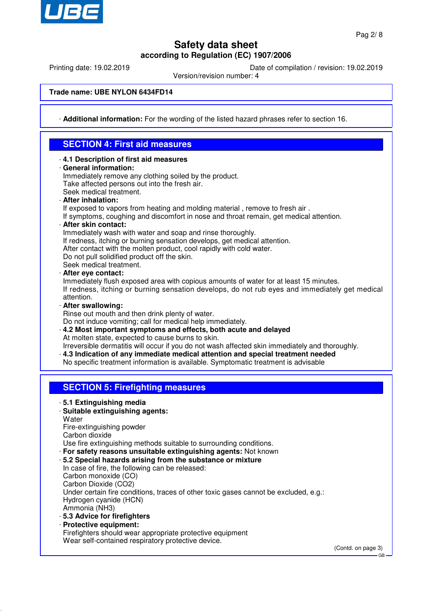

Printing date: 19.02.2019 Date of compilation / revision: 19.02.2019

Version/revision number: 4

**Trade name: UBE NYLON 6434FD14**

· **Additional information:** For the wording of the listed hazard phrases refer to section 16.

### **SECTION 4: First aid measures**

· **4.1 Description of first aid measures** · **General information:** Immediately remove any clothing soiled by the product. Take affected persons out into the fresh air. Seek medical treatment. · **After inhalation:** If exposed to vapors from heating and molding material , remove to fresh air . If symptoms, coughing and discomfort in nose and throat remain, get medical attention. · **After skin contact:** Immediately wash with water and soap and rinse thoroughly. If redness, itching or burning sensation develops, get medical attention. After contact with the molten product, cool rapidly with cold water. Do not pull solidified product off the skin. Seek medical treatment. · **After eye contact:** Immediately flush exposed area with copious amounts of water for at least 15 minutes. If redness, itching or burning sensation develops, do not rub eyes and immediately get medical attention. · **After swallowing:** Rinse out mouth and then drink plenty of water. Do not induce vomiting; call for medical help immediately. · **4.2 Most important symptoms and effects, both acute and delayed** At molten state, expected to cause burns to skin. Irreversible dermatitis will occur if you do not wash affected skin immediately and thoroughly. · **4.3 Indication of any immediate medical attention and special treatment needed** No specific treatment information is available. Symptomatic treatment is advisable **SECTION 5: Firefighting measures** · **5.1 Extinguishing media** · **Suitable extinguishing agents: Water** Fire-extinguishing powder Carbon dioxide Use fire extinguishing methods suitable to surrounding conditions. · **For safety reasons unsuitable extinguishing agents:** Not known · **5.2 Special hazards arising from the substance or mixture** In case of fire, the following can be released: Carbon monoxide (CO) Carbon Dioxide (CO2) Under certain fire conditions, traces of other toxic gases cannot be excluded, e.g.: Hydrogen cyanide (HCN) Ammonia (NH3) · **5.3 Advice for firefighters** · **Protective equipment:** Firefighters should wear appropriate protective equipment Wear self-contained respiratory protective device.

(Contd. on page 3)

GB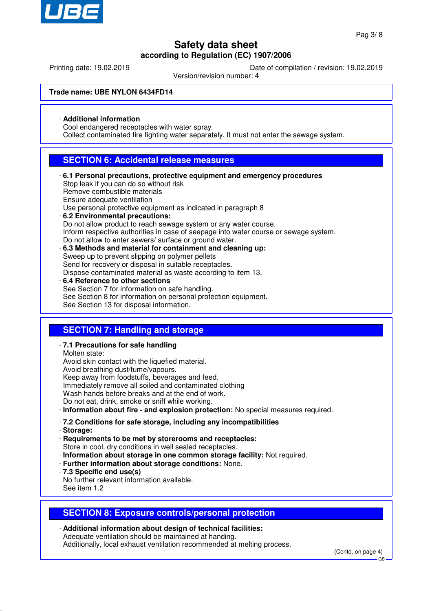

Printing date: 19.02.2019 Date of compilation / revision: 19.02.2019

Version/revision number: 4

#### **Trade name: UBE NYLON 6434FD14**

#### · **Additional information**

Cool endangered receptacles with water spray.

Collect contaminated fire fighting water separately. It must not enter the sewage system.

### **SECTION 6: Accidental release measures**

- · **6.1 Personal precautions, protective equipment and emergency procedures** Stop leak if you can do so without risk Remove combustible materials Ensure adequate ventilation Use personal protective equipment as indicated in paragraph 8 · **6.2 Environmental precautions:** Do not allow product to reach sewage system or any water course. Inform respective authorities in case of seepage into water course or sewage system. Do not allow to enter sewers/ surface or ground water. · **6.3 Methods and material for containment and cleaning up:** Sweep up to prevent slipping on polymer pellets Send for recovery or disposal in suitable receptacles. Dispose contaminated material as waste according to item 13. · **6.4 Reference to other sections** See Section 7 for information on safe handling. See Section 8 for information on personal protection equipment.
	- See Section 13 for disposal information.

### **SECTION 7: Handling and storage**

- · **7.1 Precautions for safe handling**
- Molten state:

Avoid skin contact with the liquefied material. Avoid breathing dust/fume/vapours. Keep away from foodstuffs, beverages and feed. Immediately remove all soiled and contaminated clothing Wash hands before breaks and at the end of work. Do not eat, drink, smoke or sniff while working.

· **Information about fire - and explosion protection:** No special measures required.

#### · **7.2 Conditions for safe storage, including any incompatibilities**

· **Storage:**

· **Requirements to be met by storerooms and receptacles:** Store in cool, dry conditions in well sealed receptacles.

- · **Information about storage in one common storage facility:** Not required.
- · **Further information about storage conditions:** None.
- · **7.3 Specific end use(s)**
- No further relevant information available.
- See item 1.2

### **SECTION 8: Exposure controls/personal protection**

· **Additional information about design of technical facilities:** Adequate ventilation should be maintained at handing. Additionally, local exhaust ventilation recommended at melting process.

(Contd. on page 4)

GB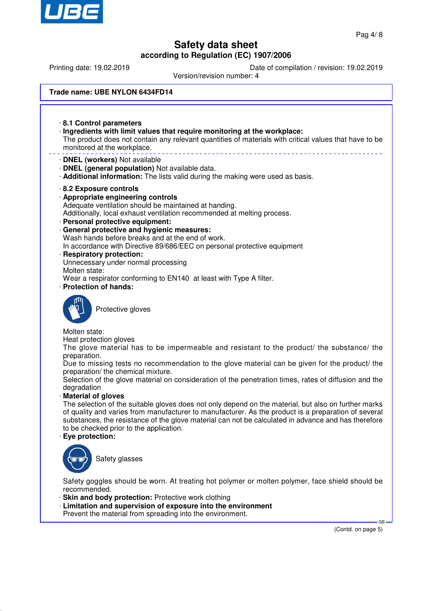

Printing date: 19.02.2019 Date of compilation / revision: 19.02.2019

Version/revision number: 4

#### **Trade name: UBE NYLON 6434FD14**

· **8.1 Control parameters** · **Ingredients with limit values that require monitoring at the workplace:** The product does not contain any relevant quantities of materials with critical values that have to be monitored at the workplace. · **DNEL (workers)** Not available · **DNEL (general population)** Not available data. · **Additional information:** The lists valid during the making were used as basis. · **8.2 Exposure controls** · **Appropriate engineering controls** Adequate ventilation should be maintained at handing. Additionally, local exhaust ventilation recommended at melting process. · **Personal protective equipment:** · **General protective and hygienic measures:** Wash hands before breaks and at the end of work. In accordance with Directive 89/686/EEC on personal protective equipment · **Respiratory protection:** Unnecessary under normal processing Molten state: Wear a respirator conforming to EN140 at least with Type A filter. · **Protection of hands:** Protective gloves Molten state: Heat protection gloves The glove material has to be impermeable and resistant to the product/ the substance/ the preparation. Due to missing tests no recommendation to the glove material can be given for the product/ the preparation/ the chemical mixture. Selection of the glove material on consideration of the penetration times, rates of diffusion and the degradation · **Material of gloves** The selection of the suitable gloves does not only depend on the material, but also on further marks of quality and varies from manufacturer to manufacturer. As the product is a preparation of several substances, the resistance of the glove material can not be calculated in advance and has therefore to be checked prior to the application. · **Eye protection:**



Safety glasses

Safety goggles should be worn. At treating hot polymer or molten polymer, face shield should be recommended.

- · **Skin and body protection:** Protective work clothing
- · **Limitation and supervision of exposure into the environment** Prevent the material from spreading into the environment.

(Contd. on page 5)

GB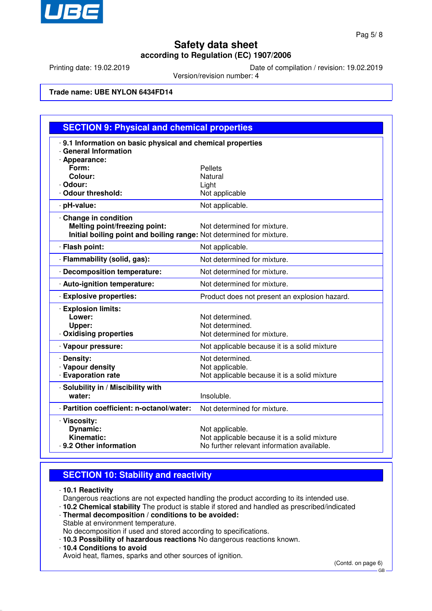

Printing date: 19.02.2019 Date of compilation / revision: 19.02.2019

Version/revision number: 4

#### **Trade name: UBE NYLON 6434FD14**

| .9.1 Information on basic physical and chemical properties<br>· General Information                                          |                                                                                                               |
|------------------------------------------------------------------------------------------------------------------------------|---------------------------------------------------------------------------------------------------------------|
| · Appearance:<br>Form:<br>Colour:<br>· Odour:                                                                                | <b>Pellets</b><br>Natural<br>Light                                                                            |
| · Odour threshold:                                                                                                           | Not applicable                                                                                                |
| · pH-value:                                                                                                                  | Not applicable.                                                                                               |
| Change in condition<br>Melting point/freezing point:<br>Initial boiling point and boiling range: Not determined for mixture. | Not determined for mixture.                                                                                   |
| · Flash point:                                                                                                               | Not applicable.                                                                                               |
| · Flammability (solid, gas):                                                                                                 | Not determined for mixture.                                                                                   |
| · Decomposition temperature:                                                                                                 | Not determined for mixture.                                                                                   |
| · Auto-ignition temperature:                                                                                                 | Not determined for mixture.                                                                                   |
| · Explosive properties:                                                                                                      | Product does not present an explosion hazard.                                                                 |
| <b>Explosion limits:</b><br>Lower:<br>Upper:<br>Oxidising properties                                                         | Not determined.<br>Not determined.<br>Not determined for mixture.                                             |
| · Vapour pressure:                                                                                                           | Not applicable because it is a solid mixture                                                                  |
| · Density:<br>· Vapour density<br><b>Evaporation rate</b>                                                                    | Not determined.<br>Not applicable.<br>Not applicable because it is a solid mixture                            |
| · Solubility in / Miscibility with<br>water:                                                                                 | Insoluble.                                                                                                    |
| · Partition coefficient: n-octanol/water:                                                                                    | Not determined for mixture.                                                                                   |
| · Viscosity:<br>Dynamic:<br>Kinematic:<br>· 9.2 Other information                                                            | Not applicable.<br>Not applicable because it is a solid mixture<br>No further relevant information available. |

## **SECTION 10: Stability and reactivity**

· **10.1 Reactivity**

Dangerous reactions are not expected handling the product according to its intended use. · **10.2 Chemical stability** The product is stable if stored and handled as prescribed/indicated

- · **Thermal decomposition / conditions to be avoided:**
- Stable at environment temperature.

No decomposition if used and stored according to specifications.

- · **10.3 Possibility of hazardous reactions** No dangerous reactions known.
- · **10.4 Conditions to avoid**

Avoid heat, flames, sparks and other sources of ignition.

(Contd. on page 6)

GB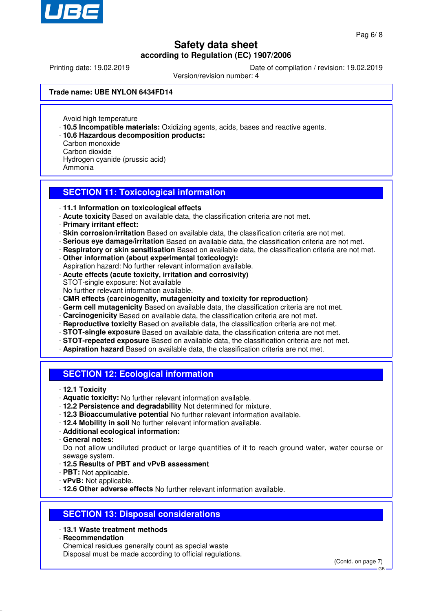

Printing date: 19.02.2019 Date of compilation / revision: 19.02.2019

Version/revision number: 4

#### **Trade name: UBE NYLON 6434FD14**

Avoid high temperature

- · **10.5 Incompatible materials:** Oxidizing agents, acids, bases and reactive agents.
- · **10.6 Hazardous decomposition products:**
- Carbon monoxide
- Carbon dioxide

Hydrogen cyanide (prussic acid)

Ammonia

### **SECTION 11: Toxicological information**

- · **11.1 Information on toxicological effects**
- · **Acute toxicity** Based on available data, the classification criteria are not met.
- · **Primary irritant effect:**
- · **Skin corrosion/irritation** Based on available data, the classification criteria are not met.
- · **Serious eye damage/irritation** Based on available data, the classification criteria are not met.
- · **Respiratory or skin sensitisation** Based on available data, the classification criteria are not met.
- · **Other information (about experimental toxicology):**
- Aspiration hazard: No further relevant information available.
- · **Acute effects (acute toxicity, irritation and corrosivity)**
- STOT-single exposure: Not available
- No further relevant information available.
- · **CMR effects (carcinogenity, mutagenicity and toxicity for reproduction)**
- · **Germ cell mutagenicity** Based on available data, the classification criteria are not met.
- · **Carcinogenicity** Based on available data, the classification criteria are not met.
- · **Reproductive toxicity** Based on available data, the classification criteria are not met.
- · **STOT-single exposure** Based on available data, the classification criteria are not met.
- · **STOT-repeated exposure** Based on available data, the classification criteria are not met.
- · **Aspiration hazard** Based on available data, the classification criteria are not met.

### **SECTION 12: Ecological information**

- · **12.1 Toxicity**
- · **Aquatic toxicity:** No further relevant information available.
- · **12.2 Persistence and degradability** Not determined for mixture.
- · **12.3 Bioaccumulative potential** No further relevant information available.
- · **12.4 Mobility in soil** No further relevant information available.
- · **Additional ecological information:**
- · **General notes:**

Do not allow undiluted product or large quantities of it to reach ground water, water course or sewage system.

- · **12.5 Results of PBT and vPvB assessment**
- · **PBT:** Not applicable.
- · **vPvB:** Not applicable.
- · **12.6 Other adverse effects** No further relevant information available.

### **SECTION 13: Disposal considerations**

- · **13.1 Waste treatment methods**
- · **Recommendation**

Chemical residues generally count as special waste Disposal must be made according to official regulations.

GB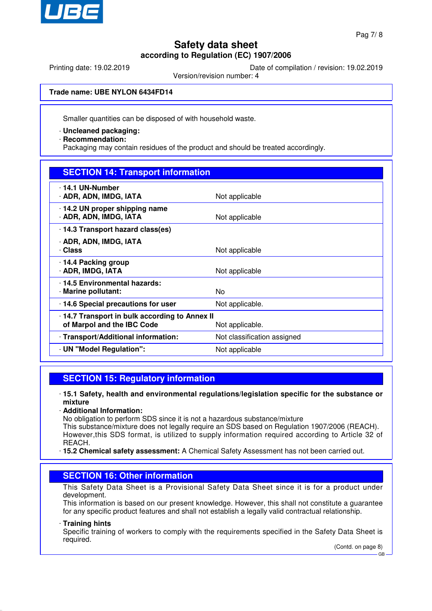

Printing date: 19.02.2019 Date of compilation / revision: 19.02.2019

Version/revision number: 4

**Trade name: UBE NYLON 6434FD14**

Smaller quantities can be disposed of with household waste.

- · **Uncleaned packaging:**
- · **Recommendation:**

Packaging may contain residues of the product and should be treated accordingly.

|  |  | <b>SECTION 14: Transport information</b> |
|--|--|------------------------------------------|
|  |  |                                          |

| 14.1 UN-Number<br>· ADR, ADN, IMDG, IATA                                                      | Not applicable              |  |
|-----------------------------------------------------------------------------------------------|-----------------------------|--|
| 14.2 UN proper shipping name<br>· ADR, ADN, IMDG, IATA                                        | Not applicable              |  |
| 14.3 Transport hazard class(es)                                                               |                             |  |
| · ADR, ADN, IMDG, IATA<br>· Class                                                             | Not applicable              |  |
| 14.4 Packing group<br><b>ADR, IMDG, IATA</b>                                                  | Not applicable              |  |
| 14.5 Environmental hazards:<br>· Marine pollutant:                                            | No.                         |  |
| · 14.6 Special precautions for user                                                           | Not applicable.             |  |
| 14.7 Transport in bulk according to Annex II<br>of Marpol and the IBC Code<br>Not applicable. |                             |  |
| · Transport/Additional information:                                                           | Not classification assigned |  |
| · UN "Model Regulation":                                                                      | Not applicable              |  |
|                                                                                               |                             |  |

### **SECTION 15: Regulatory information**

- · **15.1 Safety, health and environmental regulations/legislation specific for the substance or mixture**
- · **Additional Information:**

No obligation to perform SDS since it is not a hazardous substance/mixture

This substance/mixture does not legally require an SDS based on Regulation 1907/2006 (REACH). However,this SDS format, is utilized to supply information required according to Article 32 of REACH.

· **15.2 Chemical safety assessment:** A Chemical Safety Assessment has not been carried out.

### **SECTION 16: Other information**

This Safety Data Sheet is a Provisional Safety Data Sheet since it is for a product under development.

This information is based on our present knowledge. However, this shall not constitute a guarantee for any specific product features and shall not establish a legally valid contractual relationship.

#### · **Training hints**

Specific training of workers to comply with the requirements specified in the Safety Data Sheet is required.

(Contd. on page 8) GB